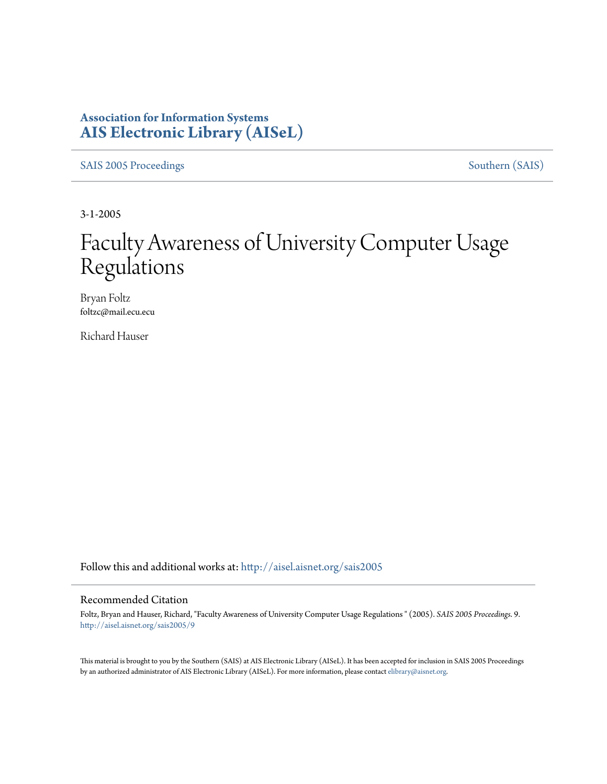## **Association for Information Systems [AIS Electronic Library \(AISeL\)](http://aisel.aisnet.org?utm_source=aisel.aisnet.org%2Fsais2005%2F9&utm_medium=PDF&utm_campaign=PDFCoverPages)**

[SAIS 2005 Proceedings](http://aisel.aisnet.org/sais2005?utm_source=aisel.aisnet.org%2Fsais2005%2F9&utm_medium=PDF&utm_campaign=PDFCoverPages) [Southern \(SAIS\)](http://aisel.aisnet.org/sais?utm_source=aisel.aisnet.org%2Fsais2005%2F9&utm_medium=PDF&utm_campaign=PDFCoverPages)

3-1-2005

# Faculty Awareness of University Computer Usage Regulations

Bryan Foltz foltzc@mail.ecu.ecu

Richard Hauser

Follow this and additional works at: [http://aisel.aisnet.org/sais2005](http://aisel.aisnet.org/sais2005?utm_source=aisel.aisnet.org%2Fsais2005%2F9&utm_medium=PDF&utm_campaign=PDFCoverPages)

#### Recommended Citation

Foltz, Bryan and Hauser, Richard, "Faculty Awareness of University Computer Usage Regulations " (2005). *SAIS 2005 Proceedings*. 9. [http://aisel.aisnet.org/sais2005/9](http://aisel.aisnet.org/sais2005/9?utm_source=aisel.aisnet.org%2Fsais2005%2F9&utm_medium=PDF&utm_campaign=PDFCoverPages)

This material is brought to you by the Southern (SAIS) at AIS Electronic Library (AISeL). It has been accepted for inclusion in SAIS 2005 Proceedings by an authorized administrator of AIS Electronic Library (AISeL). For more information, please contact [elibrary@aisnet.org](mailto:elibrary@aisnet.org%3E).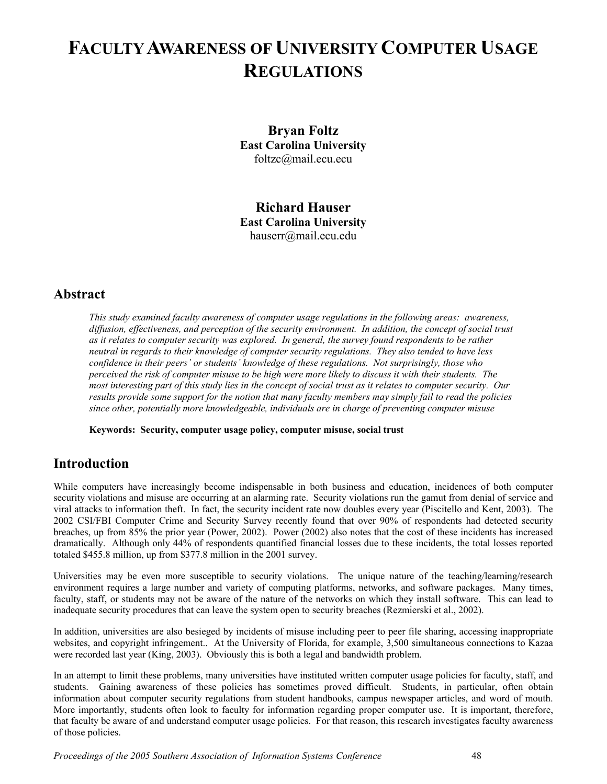# **FACULTY AWARENESS OF UNIVERSITY COMPUTER USAGE REGULATIONS**

**Bryan Foltz East Carolina University**  [foltzc@mail.ecu.ecu](mailto:foltzc@mail.ecu.ecu)

**Richard Hauser East Carolina University**  [hauserr@mail.ecu.edu](mailto:hauserr@mail.ecu.edu)

### **Abstract**

*This study examined faculty awareness of computer usage regulations in the following areas: awareness, diffusion, effectiveness, and perception of the security environment. In addition, the concept of social trust as it relates to computer security was explored. In general, the survey found respondents to be rather neutral in regards to their knowledge of computer security regulations. They also tended to have less confidence in their peers' or students' knowledge of these regulations. Not surprisingly, those who perceived the risk of computer misuse to be high were more likely to discuss it with their students. The most interesting part of this study lies in the concept of social trust as it relates to computer security. Our results provide some support for the notion that many faculty members may simply fail to read the policies since other, potentially more knowledgeable, individuals are in charge of preventing computer misuse*

**Keywords: Security, computer usage policy, computer misuse, social trust** 

## **Introduction**

While computers have increasingly become indispensable in both business and education, incidences of both computer security violations and misuse are occurring at an alarming rate. Security violations run the gamut from denial of service and viral attacks to information theft. In fact, the security incident rate now doubles every year (Piscitello and Kent, 2003). The 2002 CSI/FBI Computer Crime and Security Survey recently found that over 90% of respondents had detected security breaches, up from 85% the prior year (Power, 2002). Power (2002) also notes that the cost of these incidents has increased dramatically. Although only 44% of respondents quantified financial losses due to these incidents, the total losses reported totaled \$455.8 million, up from \$377.8 million in the 2001 survey.

Universities may be even more susceptible to security violations. The unique nature of the teaching/learning/research environment requires a large number and variety of computing platforms, networks, and software packages. Many times, faculty, staff, or students may not be aware of the nature of the networks on which they install software. This can lead to inadequate security procedures that can leave the system open to security breaches (Rezmierski et al., 2002).

In addition, universities are also besieged by incidents of misuse including peer to peer file sharing, accessing inappropriate websites, and copyright infringement.. At the University of Florida, for example, 3,500 simultaneous connections to Kazaa were recorded last year (King, 2003). Obviously this is both a legal and bandwidth problem.

In an attempt to limit these problems, many universities have instituted written computer usage policies for faculty, staff, and students. Gaining awareness of these policies has sometimes proved difficult. Students, in particular, often obtain information about computer security regulations from student handbooks, campus newspaper articles, and word of mouth. More importantly, students often look to faculty for information regarding proper computer use. It is important, therefore, that faculty be aware of and understand computer usage policies. For that reason, this research investigates faculty awareness of those policies.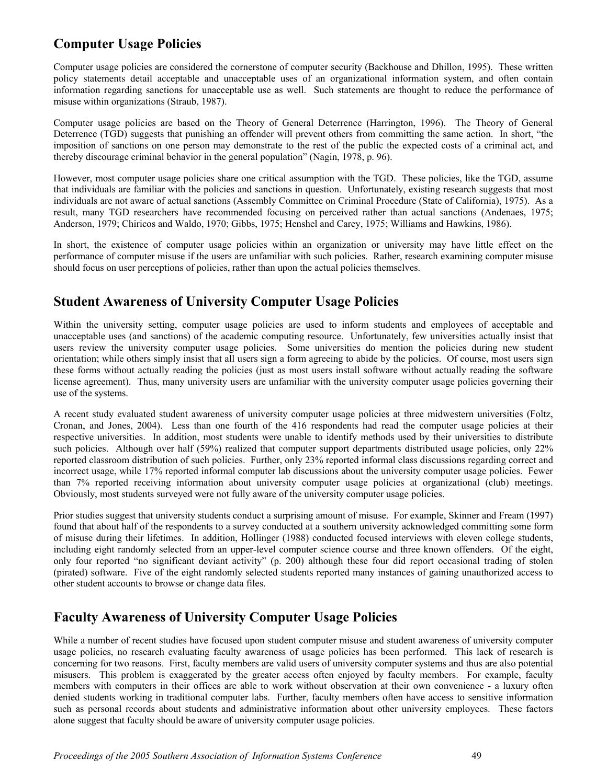# **Computer Usage Policies**

Computer usage policies are considered the cornerstone of computer security (Backhouse and Dhillon, 1995). These written policy statements detail acceptable and unacceptable uses of an organizational information system, and often contain information regarding sanctions for unacceptable use as well. Such statements are thought to reduce the performance of misuse within organizations (Straub, 1987).

Computer usage policies are based on the Theory of General Deterrence (Harrington, 1996). The Theory of General Deterrence (TGD) suggests that punishing an offender will prevent others from committing the same action. In short, "the imposition of sanctions on one person may demonstrate to the rest of the public the expected costs of a criminal act, and thereby discourage criminal behavior in the general population" (Nagin, 1978, p. 96).

However, most computer usage policies share one critical assumption with the TGD. These policies, like the TGD, assume that individuals are familiar with the policies and sanctions in question. Unfortunately, existing research suggests that most individuals are not aware of actual sanctions (Assembly Committee on Criminal Procedure (State of California), 1975). As a result, many TGD researchers have recommended focusing on perceived rather than actual sanctions (Andenaes, 1975; Anderson, 1979; Chiricos and Waldo, 1970; Gibbs, 1975; Henshel and Carey, 1975; Williams and Hawkins, 1986).

In short, the existence of computer usage policies within an organization or university may have little effect on the performance of computer misuse if the users are unfamiliar with such policies. Rather, research examining computer misuse should focus on user perceptions of policies, rather than upon the actual policies themselves.

# **Student Awareness of University Computer Usage Policies**

Within the university setting, computer usage policies are used to inform students and employees of acceptable and unacceptable uses (and sanctions) of the academic computing resource. Unfortunately, few universities actually insist that users review the university computer usage policies. Some universities do mention the policies during new student orientation; while others simply insist that all users sign a form agreeing to abide by the policies. Of course, most users sign these forms without actually reading the policies (just as most users install software without actually reading the software license agreement). Thus, many university users are unfamiliar with the university computer usage policies governing their use of the systems.

A recent study evaluated student awareness of university computer usage policies at three midwestern universities (Foltz, Cronan, and Jones, 2004). Less than one fourth of the 416 respondents had read the computer usage policies at their respective universities. In addition, most students were unable to identify methods used by their universities to distribute such policies. Although over half (59%) realized that computer support departments distributed usage policies, only 22% reported classroom distribution of such policies. Further, only 23% reported informal class discussions regarding correct and incorrect usage, while 17% reported informal computer lab discussions about the university computer usage policies. Fewer than 7% reported receiving information about university computer usage policies at organizational (club) meetings. Obviously, most students surveyed were not fully aware of the university computer usage policies.

Prior studies suggest that university students conduct a surprising amount of misuse. For example, Skinner and Fream (1997) found that about half of the respondents to a survey conducted at a southern university acknowledged committing some form of misuse during their lifetimes. In addition, Hollinger (1988) conducted focused interviews with eleven college students, including eight randomly selected from an upper-level computer science course and three known offenders. Of the eight, only four reported "no significant deviant activity" (p. 200) although these four did report occasional trading of stolen (pirated) software. Five of the eight randomly selected students reported many instances of gaining unauthorized access to other student accounts to browse or change data files.

## **Faculty Awareness of University Computer Usage Policies**

While a number of recent studies have focused upon student computer misuse and student awareness of university computer usage policies, no research evaluating faculty awareness of usage policies has been performed. This lack of research is concerning for two reasons. First, faculty members are valid users of university computer systems and thus are also potential misusers. This problem is exaggerated by the greater access often enjoyed by faculty members. For example, faculty members with computers in their offices are able to work without observation at their own convenience - a luxury often denied students working in traditional computer labs. Further, faculty members often have access to sensitive information such as personal records about students and administrative information about other university employees. These factors alone suggest that faculty should be aware of university computer usage policies.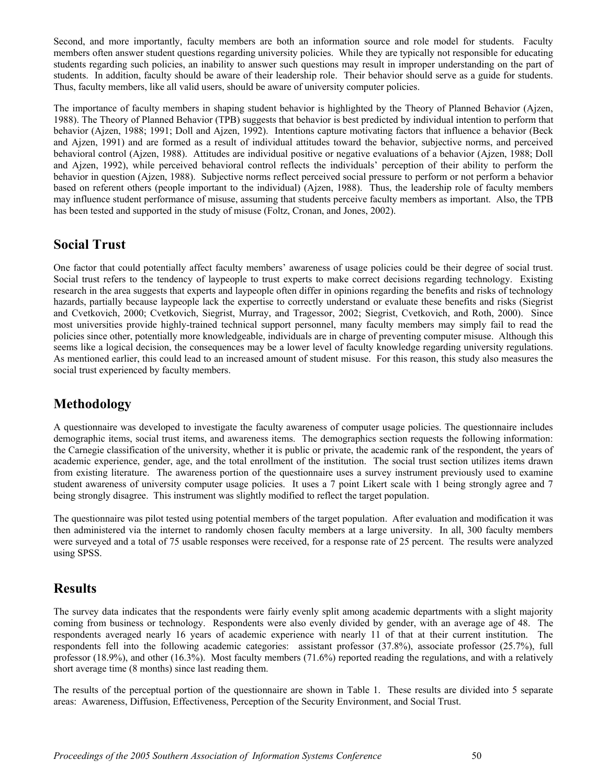Second, and more importantly, faculty members are both an information source and role model for students. Faculty members often answer student questions regarding university policies. While they are typically not responsible for educating students regarding such policies, an inability to answer such questions may result in improper understanding on the part of students. In addition, faculty should be aware of their leadership role. Their behavior should serve as a guide for students. Thus, faculty members, like all valid users, should be aware of university computer policies.

The importance of faculty members in shaping student behavior is highlighted by the Theory of Planned Behavior (Ajzen, 1988). The Theory of Planned Behavior (TPB) suggests that behavior is best predicted by individual intention to perform that behavior (Ajzen, 1988; 1991; Doll and Ajzen, 1992). Intentions capture motivating factors that influence a behavior (Beck and Ajzen, 1991) and are formed as a result of individual attitudes toward the behavior, subjective norms, and perceived behavioral control (Ajzen, 1988). Attitudes are individual positive or negative evaluations of a behavior (Ajzen, 1988; Doll and Ajzen, 1992), while perceived behavioral control reflects the individuals' perception of their ability to perform the behavior in question (Ajzen, 1988). Subjective norms reflect perceived social pressure to perform or not perform a behavior based on referent others (people important to the individual) (Ajzen, 1988). Thus, the leadership role of faculty members may influence student performance of misuse, assuming that students perceive faculty members as important. Also, the TPB has been tested and supported in the study of misuse (Foltz, Cronan, and Jones, 2002).

### **Social Trust**

One factor that could potentially affect faculty members' awareness of usage policies could be their degree of social trust. Social trust refers to the tendency of laypeople to trust experts to make correct decisions regarding technology. Existing research in the area suggests that experts and laypeople often differ in opinions regarding the benefits and risks of technology hazards, partially because laypeople lack the expertise to correctly understand or evaluate these benefits and risks (Siegrist and Cvetkovich, 2000; Cvetkovich, Siegrist, Murray, and Tragessor, 2002; Siegrist, Cvetkovich, and Roth, 2000). Since most universities provide highly-trained technical support personnel, many faculty members may simply fail to read the policies since other, potentially more knowledgeable, individuals are in charge of preventing computer misuse. Although this seems like a logical decision, the consequences may be a lower level of faculty knowledge regarding university regulations. As mentioned earlier, this could lead to an increased amount of student misuse. For this reason, this study also measures the social trust experienced by faculty members.

# **Methodology**

A questionnaire was developed to investigate the faculty awareness of computer usage policies. The questionnaire includes demographic items, social trust items, and awareness items. The demographics section requests the following information: the Carnegie classification of the university, whether it is public or private, the academic rank of the respondent, the years of academic experience, gender, age, and the total enrollment of the institution. The social trust section utilizes items drawn from existing literature. The awareness portion of the questionnaire uses a survey instrument previously used to examine student awareness of university computer usage policies. It uses a 7 point Likert scale with 1 being strongly agree and 7 being strongly disagree. This instrument was slightly modified to reflect the target population.

The questionnaire was pilot tested using potential members of the target population. After evaluation and modification it was then administered via the internet to randomly chosen faculty members at a large university. In all, 300 faculty members were surveyed and a total of 75 usable responses were received, for a response rate of 25 percent. The results were analyzed using SPSS.

### **Results**

The survey data indicates that the respondents were fairly evenly split among academic departments with a slight majority coming from business or technology. Respondents were also evenly divided by gender, with an average age of 48. The respondents averaged nearly 16 years of academic experience with nearly 11 of that at their current institution. The respondents fell into the following academic categories: assistant professor (37.8%), associate professor (25.7%), full professor (18.9%), and other (16.3%). Most faculty members (71.6%) reported reading the regulations, and with a relatively short average time (8 months) since last reading them.

The results of the perceptual portion of the questionnaire are shown in Table 1. These results are divided into 5 separate areas: Awareness, Diffusion, Effectiveness, Perception of the Security Environment, and Social Trust.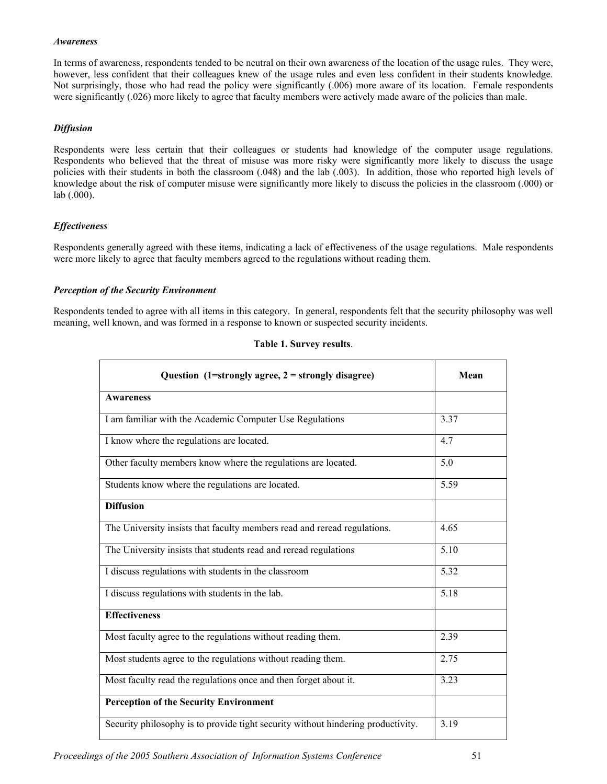#### *Awareness*

In terms of awareness, respondents tended to be neutral on their own awareness of the location of the usage rules. They were, however, less confident that their colleagues knew of the usage rules and even less confident in their students knowledge. Not surprisingly, those who had read the policy were significantly (.006) more aware of its location. Female respondents were significantly (.026) more likely to agree that faculty members were actively made aware of the policies than male.

#### *Diffusion*

Respondents were less certain that their colleagues or students had knowledge of the computer usage regulations. Respondents who believed that the threat of misuse was more risky were significantly more likely to discuss the usage policies with their students in both the classroom (.048) and the lab (.003). In addition, those who reported high levels of knowledge about the risk of computer misuse were significantly more likely to discuss the policies in the classroom (.000) or lab (.000).

#### *Effectiveness*

Respondents generally agreed with these items, indicating a lack of effectiveness of the usage regulations. Male respondents were more likely to agree that faculty members agreed to the regulations without reading them.

#### *Perception of the Security Environment*

Respondents tended to agree with all items in this category. In general, respondents felt that the security philosophy was well meaning, well known, and was formed in a response to known or suspected security incidents.

| Question $(1=strongly agree, 2=strongly disagree)$                               | Mean |
|----------------------------------------------------------------------------------|------|
| <b>Awareness</b>                                                                 |      |
| I am familiar with the Academic Computer Use Regulations                         | 3.37 |
| I know where the regulations are located.                                        | 4.7  |
| Other faculty members know where the regulations are located.                    | 5.0  |
| Students know where the regulations are located.                                 | 5.59 |
| <b>Diffusion</b>                                                                 |      |
| The University insists that faculty members read and reread regulations.         | 4.65 |
| The University insists that students read and reread regulations                 | 5.10 |
| I discuss regulations with students in the classroom                             | 5.32 |
| I discuss regulations with students in the lab.                                  | 5.18 |
| <b>Effectiveness</b>                                                             |      |
| Most faculty agree to the regulations without reading them.                      | 2.39 |
| Most students agree to the regulations without reading them.                     | 2.75 |
| Most faculty read the regulations once and then forget about it.                 | 3.23 |
| <b>Perception of the Security Environment</b>                                    |      |
| Security philosophy is to provide tight security without hindering productivity. | 3.19 |

#### **Table 1. Survey results**.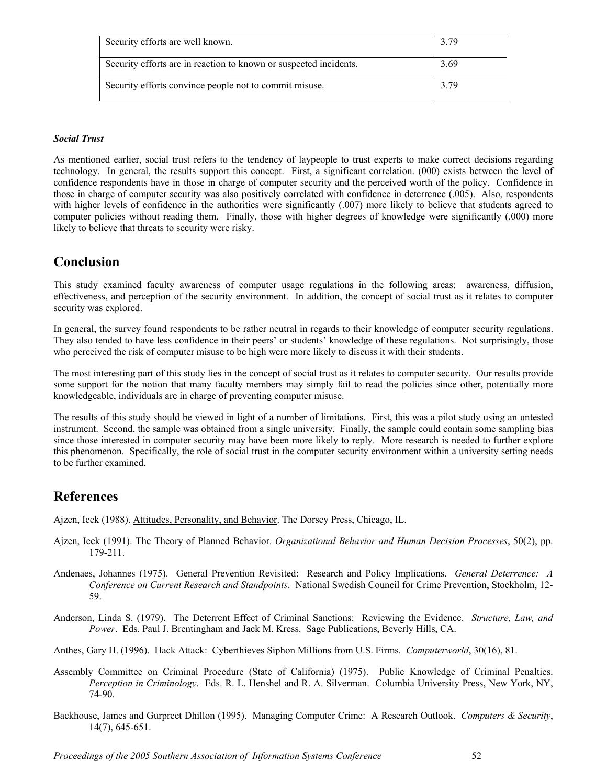| Security efforts are well known.                                  | 3.79 |
|-------------------------------------------------------------------|------|
| Security efforts are in reaction to known or suspected incidents. | 3.69 |
| Security efforts convince people not to commit misuse.            | 3.79 |

### *Social Trust*

As mentioned earlier, social trust refers to the tendency of laypeople to trust experts to make correct decisions regarding technology. In general, the results support this concept. First, a significant correlation. (000) exists between the level of confidence respondents have in those in charge of computer security and the perceived worth of the policy. Confidence in those in charge of computer security was also positively correlated with confidence in deterrence (.005). Also, respondents with higher levels of confidence in the authorities were significantly (.007) more likely to believe that students agreed to computer policies without reading them. Finally, those with higher degrees of knowledge were significantly (.000) more likely to believe that threats to security were risky.

### **Conclusion**

This study examined faculty awareness of computer usage regulations in the following areas: awareness, diffusion, effectiveness, and perception of the security environment. In addition, the concept of social trust as it relates to computer security was explored.

In general, the survey found respondents to be rather neutral in regards to their knowledge of computer security regulations. They also tended to have less confidence in their peers' or students' knowledge of these regulations. Not surprisingly, those who perceived the risk of computer misuse to be high were more likely to discuss it with their students.

The most interesting part of this study lies in the concept of social trust as it relates to computer security. Our results provide some support for the notion that many faculty members may simply fail to read the policies since other, potentially more knowledgeable, individuals are in charge of preventing computer misuse.

The results of this study should be viewed in light of a number of limitations. First, this was a pilot study using an untested instrument. Second, the sample was obtained from a single university. Finally, the sample could contain some sampling bias since those interested in computer security may have been more likely to reply. More research is needed to further explore this phenomenon. Specifically, the role of social trust in the computer security environment within a university setting needs to be further examined.

### **References**

Ajzen, Icek (1988). Attitudes, Personality, and Behavior. The Dorsey Press, Chicago, IL.

- Ajzen, Icek (1991). The Theory of Planned Behavior. *Organizational Behavior and Human Decision Processes*, 50(2), pp. 179-211.
- Andenaes, Johannes (1975). General Prevention Revisited: Research and Policy Implications. *General Deterrence: A Conference on Current Research and Standpoints*. National Swedish Council for Crime Prevention, Stockholm, 12- 59.
- Anderson, Linda S. (1979). The Deterrent Effect of Criminal Sanctions: Reviewing the Evidence. *Structure, Law, and Power*. Eds. Paul J. Brentingham and Jack M. Kress. Sage Publications, Beverly Hills, CA.
- Anthes, Gary H. (1996). Hack Attack: Cyberthieves Siphon Millions from U.S. Firms. *Computerworld*, 30(16), 81.
- Assembly Committee on Criminal Procedure (State of California) (1975). Public Knowledge of Criminal Penalties. *Perception in Criminology*. Eds. R. L. Henshel and R. A. Silverman. Columbia University Press, New York, NY, 74-90.
- Backhouse, James and Gurpreet Dhillon (1995). Managing Computer Crime: A Research Outlook. *Computers & Security*, 14(7), 645-651.